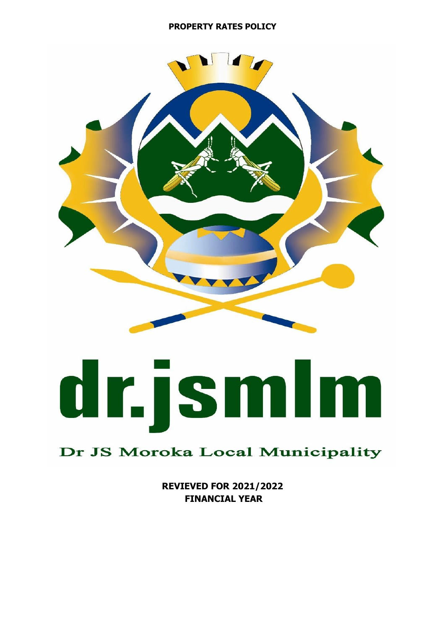### **PROPERTY RATES POLICY**



# dr.jsmlm

# Dr JS Moroka Local Municipality

**REVIEVED FOR 2021/2022 FINANCIAL YEAR**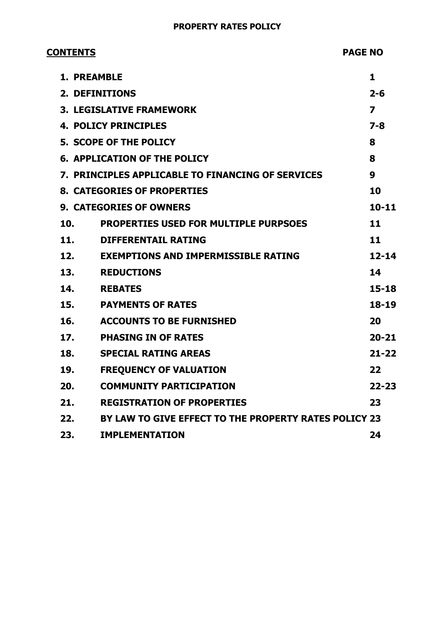### **PROPERTY RATES POLICY**

| <b>CONTENTS</b> |     |                                                       | <b>PAGE NO</b>          |  |
|-----------------|-----|-------------------------------------------------------|-------------------------|--|
|                 |     | <b>1. PREAMBLE</b>                                    | 1                       |  |
|                 |     | <b>2. DEFINITIONS</b>                                 | $2 - 6$                 |  |
|                 |     | <b>3. LEGISLATIVE FRAMEWORK</b>                       | $\overline{\mathbf{z}}$ |  |
|                 |     | <b>4. POLICY PRINCIPLES</b>                           | $7 - 8$                 |  |
|                 |     | <b>5. SCOPE OF THE POLICY</b>                         | 8                       |  |
|                 |     | <b>6. APPLICATION OF THE POLICY</b>                   | 8                       |  |
|                 |     | 7. PRINCIPLES APPLICABLE TO FINANCING OF SERVICES     | 9                       |  |
|                 |     | <b>8. CATEGORIES OF PROPERTIES</b>                    | 10                      |  |
|                 |     | <b>9. CATEGORIES OF OWNERS</b>                        | $10 - 11$               |  |
|                 | 10. | <b>PROPERTIES USED FOR MULTIPLE PURPSOES</b>          | 11                      |  |
|                 | 11. | <b>DIFFERENTAIL RATING</b>                            | 11                      |  |
|                 | 12. | <b>EXEMPTIONS AND IMPERMISSIBLE RATING</b>            | $12 - 14$               |  |
|                 | 13. | <b>REDUCTIONS</b>                                     | 14                      |  |
|                 | 14. | <b>REBATES</b>                                        | $15 - 18$               |  |
|                 | 15. | <b>PAYMENTS OF RATES</b>                              | 18-19                   |  |
|                 | 16. | <b>ACCOUNTS TO BE FURNISHED</b>                       | 20                      |  |
|                 | 17. | <b>PHASING IN OF RATES</b>                            | $20 - 21$               |  |
|                 | 18. | <b>SPECIAL RATING AREAS</b>                           | $21 - 22$               |  |
|                 | 19. | <b>FREQUENCY OF VALUATION</b>                         | 22                      |  |
|                 | 20. | <b>COMMUNITY PARTICIPATION</b>                        | $22 - 23$               |  |
|                 | 21. | <b>REGISTRATION OF PROPERTIES</b>                     | 23                      |  |
|                 | 22. | BY LAW TO GIVE EFFECT TO THE PROPERTY RATES POLICY 23 |                         |  |
|                 | 23. | <b>IMPLEMENTATION</b>                                 | 24                      |  |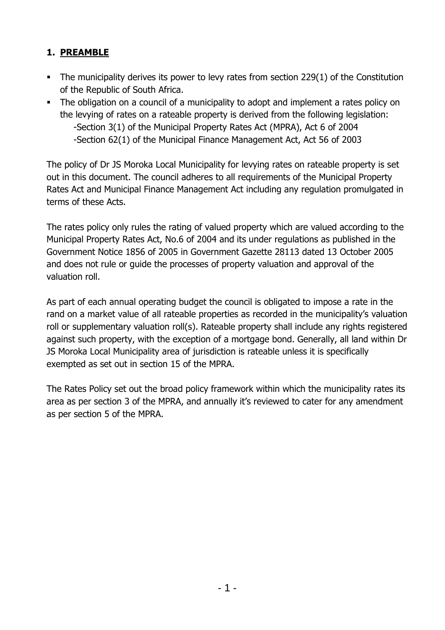# **1. PREAMBLE**

- **•** The municipality derives its power to levy rates from section 229(1) of the Constitution of the Republic of South Africa.
- The obligation on a council of a municipality to adopt and implement a rates policy on the levying of rates on a rateable property is derived from the following legislation: -Section 3(1) of the Municipal Property Rates Act (MPRA), Act 6 of 2004 -Section 62(1) of the Municipal Finance Management Act, Act 56 of 2003

The policy of Dr JS Moroka Local Municipality for levying rates on rateable property is set out in this document. The council adheres to all requirements of the Municipal Property Rates Act and Municipal Finance Management Act including any regulation promulgated in terms of these Acts.

The rates policy only rules the rating of valued property which are valued according to the Municipal Property Rates Act, No.6 of 2004 and its under regulations as published in the Government Notice 1856 of 2005 in Government Gazette 28113 dated 13 October 2005 and does not rule or guide the processes of property valuation and approval of the valuation roll.

As part of each annual operating budget the council is obligated to impose a rate in the rand on a market value of all rateable properties as recorded in the municipality's valuation roll or supplementary valuation roll(s). Rateable property shall include any rights registered against such property, with the exception of a mortgage bond. Generally, all land within Dr JS Moroka Local Municipality area of jurisdiction is rateable unless it is specifically exempted as set out in section 15 of the MPRA.

The Rates Policy set out the broad policy framework within which the municipality rates its area as per section 3 of the MPRA, and annually it's reviewed to cater for any amendment as per section 5 of the MPRA.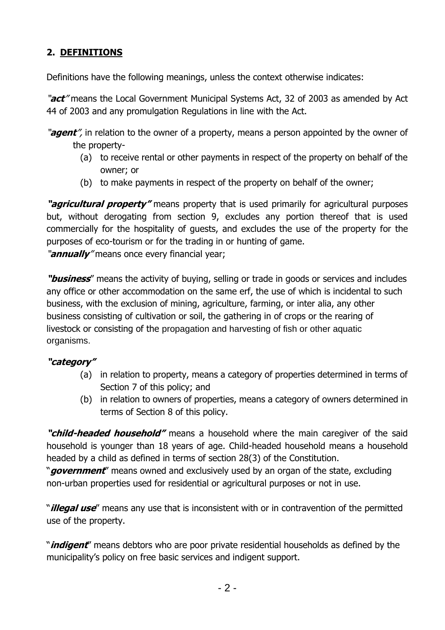# **2. DEFINITIONS**

Definitions have the following meanings, unless the context otherwise indicates:

"**act**" means the Local Government Municipal Systems Act, 32 of 2003 as amended by Act 44 of 2003 and any promulgation Regulations in line with the Act.

"**agent**", in relation to the owner of a property, means a person appointed by the owner of the property-

- (a) to receive rental or other payments in respect of the property on behalf of the owner; or
- (b) to make payments in respect of the property on behalf of the owner;

**"agricultural property"** means property that is used primarily for agricultural purposes but, without derogating from section 9, excludes any portion thereof that is used commercially for the hospitality of guests, and excludes the use of the property for the purposes of eco-tourism or for the trading in or hunting of game.

"**annually**" means once every financial year;

**"business**" means the activity of buying, selling or trade in goods or services and includes any office or other accommodation on the same erf, the use of which is incidental to such business, with the exclusion of mining, agriculture, farming, or inter alia, any other business consisting of cultivation or soil, the gathering in of crops or the rearing of livestock or consisting of the propagation and harvesting of fish or other aquatic organisms.

### **"category"**

- (a) in relation to property, means a category of properties determined in terms of Section 7 of this policy; and
- (b) in relation to owners of properties, means a category of owners determined in terms of Section 8 of this policy.

**"child-headed household"** means a household where the main caregiver of the said household is younger than 18 years of age. Child-headed household means a household headed by a child as defined in terms of section 28(3) of the Constitution.

"**government**" means owned and exclusively used by an organ of the state, excluding non-urban properties used for residential or agricultural purposes or not in use.

"**illegal use**" means any use that is inconsistent with or in contravention of the permitted use of the property.

"**indigent**" means debtors who are poor private residential households as defined by the municipality's policy on free basic services and indigent support.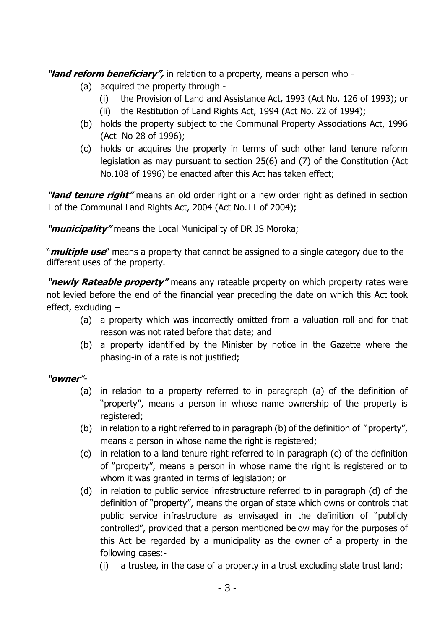**"land reform beneficiary",** in relation to a property, means a person who -

- (a) acquired the property through
	- (i) the Provision of Land and Assistance Act, 1993 (Act No. 126 of 1993); or
	- (ii) the Restitution of Land Rights Act, 1994 (Act No. 22 of 1994);
- (b) holds the property subject to the Communal Property Associations Act, 1996 (Act No 28 of 1996);
- (c) holds or acquires the property in terms of such other land tenure reform legislation as may pursuant to section 25(6) and (7) of the Constitution (Act No.108 of 1996) be enacted after this Act has taken effect;

**"land tenure right"** means an old order right or a new order right as defined in section 1 of the Communal Land Rights Act, 2004 (Act No.11 of 2004);

**"municipality"** means the Local Municipality of DR JS Moroka;

"**multiple use**" means a property that cannot be assigned to a single category due to the different uses of the property.

**"newly Rateable property"** means any rateable property on which property rates were not levied before the end of the financial year preceding the date on which this Act took effect, excluding –

- (a) a property which was incorrectly omitted from a valuation roll and for that reason was not rated before that date; and
- (b) a property identified by the Minister by notice in the Gazette where the phasing-in of a rate is not justified;

### **"owner**"-

- (a) in relation to a property referred to in paragraph (a) of the definition of "property", means a person in whose name ownership of the property is registered;
- (b) in relation to a right referred to in paragraph (b) of the definition of "property", means a person in whose name the right is registered;
- (c) in relation to a land tenure right referred to in paragraph (c) of the definition of "property", means a person in whose name the right is registered or to whom it was granted in terms of legislation; or
- (d) in relation to public service infrastructure referred to in paragraph (d) of the definition of "property", means the organ of state which owns or controls that public service infrastructure as envisaged in the definition of "publicly controlled", provided that a person mentioned below may for the purposes of this Act be regarded by a municipality as the owner of a property in the following cases:-
	- (i) a trustee, in the case of a property in a trust excluding state trust land;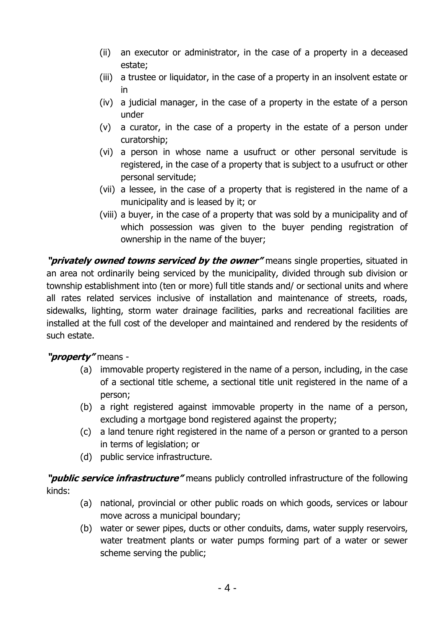- (ii) an executor or administrator, in the case of a property in a deceased estate;
- (iii) a trustee or liquidator, in the case of a property in an insolvent estate or in
- (iv) a judicial manager, in the case of a property in the estate of a person under
- (v) a curator, in the case of a property in the estate of a person under curatorship;
- (vi) a person in whose name a usufruct or other personal servitude is registered, in the case of a property that is subject to a usufruct or other personal servitude;
- (vii) a lessee, in the case of a property that is registered in the name of a municipality and is leased by it; or
- (viii) a buyer, in the case of a property that was sold by a municipality and of which possession was given to the buyer pending registration of ownership in the name of the buyer;

**"privately owned towns serviced by the owner"** means single properties, situated in an area not ordinarily being serviced by the municipality, divided through sub division or township establishment into (ten or more) full title stands and/ or sectional units and where all rates related services inclusive of installation and maintenance of streets, roads, sidewalks, lighting, storm water drainage facilities, parks and recreational facilities are installed at the full cost of the developer and maintained and rendered by the residents of such estate.

### **"property"** means -

- (a) immovable property registered in the name of a person, including, in the case of a sectional title scheme, a sectional title unit registered in the name of a person;
- (b) a right registered against immovable property in the name of a person, excluding a mortgage bond registered against the property;
- (c) a land tenure right registered in the name of a person or granted to a person in terms of legislation; or
- (d) public service infrastructure.

**"public service infrastructure"** means publicly controlled infrastructure of the following kinds:

- (a) national, provincial or other public roads on which goods, services or labour move across a municipal boundary;
- (b) water or sewer pipes, ducts or other conduits, dams, water supply reservoirs, water treatment plants or water pumps forming part of a water or sewer scheme serving the public;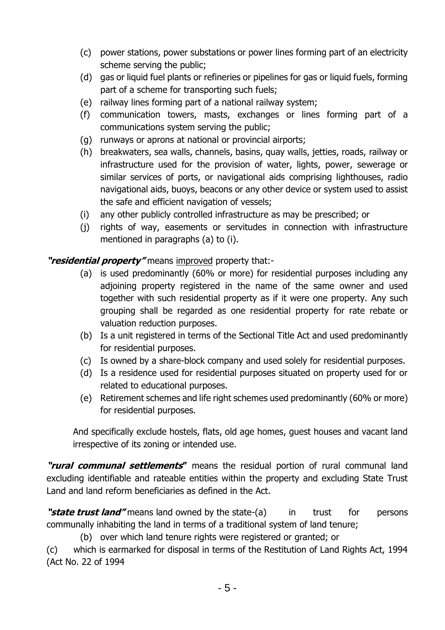- (c) power stations, power substations or power lines forming part of an electricity scheme serving the public;
- (d) gas or liquid fuel plants or refineries or pipelines for gas or liquid fuels, forming part of a scheme for transporting such fuels;
- (e) railway lines forming part of a national railway system;
- (f) communication towers, masts, exchanges or lines forming part of a communications system serving the public;
- (g) runways or aprons at national or provincial airports;
- (h) breakwaters, sea walls, channels, basins, quay walls, jetties, roads, railway or infrastructure used for the provision of water, lights, power, sewerage or similar services of ports, or navigational aids comprising lighthouses, radio navigational aids, buoys, beacons or any other device or system used to assist the safe and efficient navigation of vessels;
- (i) any other publicly controlled infrastructure as may be prescribed; or
- (j) rights of way, easements or servitudes in connection with infrastructure mentioned in paragraphs (a) to (i).

**"residential property"** means improved property that:-

- (a) is used predominantly (60% or more) for residential purposes including any adjoining property registered in the name of the same owner and used together with such residential property as if it were one property. Any such grouping shall be regarded as one residential property for rate rebate or valuation reduction purposes.
- (b) Is a unit registered in terms of the Sectional Title Act and used predominantly for residential purposes.
- (c) Is owned by a share-block company and used solely for residential purposes.
- (d) Is a residence used for residential purposes situated on property used for or related to educational purposes.
- (e) Retirement schemes and life right schemes used predominantly (60% or more) for residential purposes.

And specifically exclude hostels, flats, old age homes, guest houses and vacant land irrespective of its zoning or intended use.

**"rural communal settlements"** means the residual portion of rural communal land excluding identifiable and rateable entities within the property and excluding State Trust Land and land reform beneficiaries as defined in the Act.

**"state trust land"** means land owned by the state-(a) in trust for persons communally inhabiting the land in terms of a traditional system of land tenure;

(b) over which land tenure rights were registered or granted; or

(c) which is earmarked for disposal in terms of the Restitution of Land Rights Act, 1994 (Act No. 22 of 1994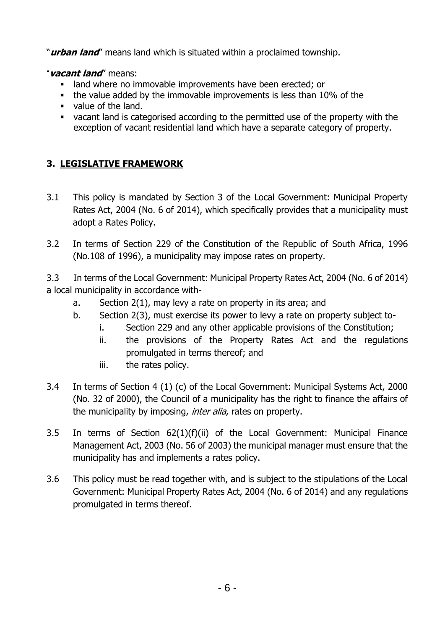"**urban land**" means land which is situated within a proclaimed township.

"**vacant land**" means:

- land where no immovable improvements have been erected; or
- the value added by the immovable improvements is less than 10% of the
- value of the land.
- vacant land is categorised according to the permitted use of the property with the exception of vacant residential land which have a separate category of property.

# **3. LEGISLATIVE FRAMEWORK**

- 3.1 This policy is mandated by Section 3 of the Local Government: Municipal Property Rates Act, 2004 (No. 6 of 2014), which specifically provides that a municipality must adopt a Rates Policy.
- 3.2 In terms of Section 229 of the Constitution of the Republic of South Africa, 1996 (No.108 of 1996), a municipality may impose rates on property.

3.3 In terms of the Local Government: Municipal Property Rates Act, 2004 (No. 6 of 2014) a local municipality in accordance with-

- a. Section 2(1), may levy a rate on property in its area; and
- b. Section 2(3), must exercise its power to levy a rate on property subject to
	- i. Section 229 and any other applicable provisions of the Constitution;
	- ii. the provisions of the Property Rates Act and the regulations promulgated in terms thereof; and
	- iii. the rates policy.
- 3.4 In terms of Section 4 (1) (c) of the Local Government: Municipal Systems Act, 2000 (No. 32 of 2000), the Council of a municipality has the right to finance the affairs of the municipality by imposing, *inter alia*, rates on property.
- 3.5 In terms of Section 62(1)(f)(ii) of the Local Government: Municipal Finance Management Act, 2003 (No. 56 of 2003) the municipal manager must ensure that the municipality has and implements a rates policy.
- 3.6 This policy must be read together with, and is subject to the stipulations of the Local Government: Municipal Property Rates Act, 2004 (No. 6 of 2014) and any regulations promulgated in terms thereof.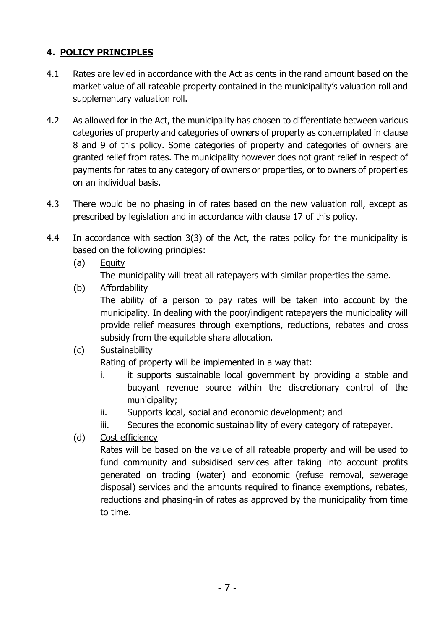# **4. POLICY PRINCIPLES**

- 4.1 Rates are levied in accordance with the Act as cents in the rand amount based on the market value of all rateable property contained in the municipality's valuation roll and supplementary valuation roll.
- 4.2 As allowed for in the Act, the municipality has chosen to differentiate between various categories of property and categories of owners of property as contemplated in clause 8 and 9 of this policy. Some categories of property and categories of owners are granted relief from rates. The municipality however does not grant relief in respect of payments for rates to any category of owners or properties, or to owners of properties on an individual basis.
- 4.3 There would be no phasing in of rates based on the new valuation roll, except as prescribed by legislation and in accordance with clause 17 of this policy.
- 4.4 In accordance with section 3(3) of the Act, the rates policy for the municipality is based on the following principles:
	- (a) Equity

The municipality will treat all ratepayers with similar properties the same.

(b) Affordability

The ability of a person to pay rates will be taken into account by the municipality. In dealing with the poor/indigent ratepayers the municipality will provide relief measures through exemptions, reductions, rebates and cross subsidy from the equitable share allocation.

### (c) Sustainability

Rating of property will be implemented in a way that:

- i. it supports sustainable local government by providing a stable and buoyant revenue source within the discretionary control of the municipality;
- ii. Supports local, social and economic development; and
- iii. Secures the economic sustainability of every category of ratepayer.
- (d) Cost efficiency

Rates will be based on the value of all rateable property and will be used to fund community and subsidised services after taking into account profits generated on trading (water) and economic (refuse removal, sewerage disposal) services and the amounts required to finance exemptions, rebates, reductions and phasing-in of rates as approved by the municipality from time to time.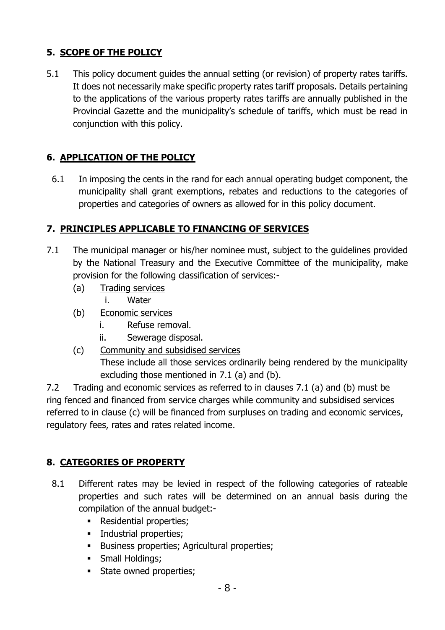# **5. SCOPE OF THE POLICY**

5.1 This policy document guides the annual setting (or revision) of property rates tariffs. It does not necessarily make specific property rates tariff proposals. Details pertaining to the applications of the various property rates tariffs are annually published in the Provincial Gazette and the municipality's schedule of tariffs, which must be read in conjunction with this policy.

# **6. APPLICATION OF THE POLICY**

6.1 In imposing the cents in the rand for each annual operating budget component, the municipality shall grant exemptions, rebates and reductions to the categories of properties and categories of owners as allowed for in this policy document.

## **7. PRINCIPLES APPLICABLE TO FINANCING OF SERVICES**

- 7.1 The municipal manager or his/her nominee must, subject to the guidelines provided by the National Treasury and the Executive Committee of the municipality, make provision for the following classification of services:-
	- (a) Trading services

i. Water

- (b) Economic services
	- i. Refuse removal.
	- ii. Sewerage disposal.
- (c) Community and subsidised services These include all those services ordinarily being rendered by the municipality excluding those mentioned in 7.1 (a) and (b).

7.2 Trading and economic services as referred to in clauses 7.1 (a) and (b) must be ring fenced and financed from service charges while community and subsidised services referred to in clause (c) will be financed from surpluses on trading and economic services, regulatory fees, rates and rates related income.

# **8. CATEGORIES OF PROPERTY**

- 8.1 Different rates may be levied in respect of the following categories of rateable properties and such rates will be determined on an annual basis during the compilation of the annual budget:-
	- **•** Residential properties;
	- **·** Industrial properties;
	- **EXECUTE:** Business properties; Agricultural properties;
	- **•** Small Holdings;
	- **EXECUTE:** State owned properties;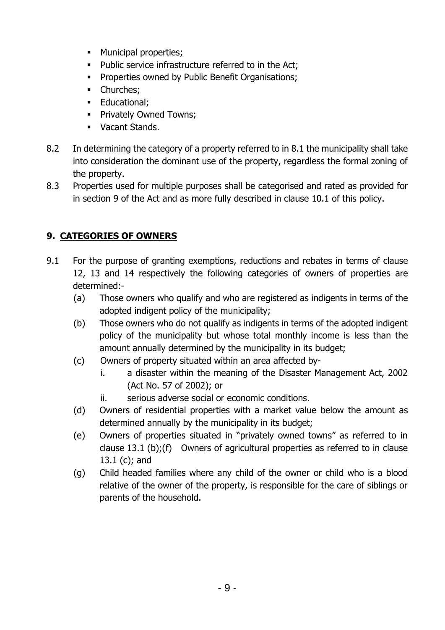- Municipal properties;
- Public service infrastructure referred to in the Act;
- **Properties owned by Public Benefit Organisations;**
- **•** Churches;
- **Educational**;
- **Privately Owned Towns:**
- Vacant Stands.
- 8.2 In determining the category of a property referred to in 8.1 the municipality shall take into consideration the dominant use of the property, regardless the formal zoning of the property.
- 8.3 Properties used for multiple purposes shall be categorised and rated as provided for in section 9 of the Act and as more fully described in clause 10.1 of this policy.

# **9. CATEGORIES OF OWNERS**

- 9.1 For the purpose of granting exemptions, reductions and rebates in terms of clause 12, 13 and 14 respectively the following categories of owners of properties are determined:-
	- (a) Those owners who qualify and who are registered as indigents in terms of the adopted indigent policy of the municipality;
	- (b) Those owners who do not qualify as indigents in terms of the adopted indigent policy of the municipality but whose total monthly income is less than the amount annually determined by the municipality in its budget;
	- (c) Owners of property situated within an area affected by
		- i. a disaster within the meaning of the Disaster Management Act, 2002 (Act No. 57 of 2002); or
		- ii. serious adverse social or economic conditions.
	- (d) Owners of residential properties with a market value below the amount as determined annually by the municipality in its budget;
	- (e) Owners of properties situated in "privately owned towns" as referred to in clause 13.1 (b);(f) Owners of agricultural properties as referred to in clause 13.1 (c); and
	- (g) Child headed families where any child of the owner or child who is a blood relative of the owner of the property, is responsible for the care of siblings or parents of the household.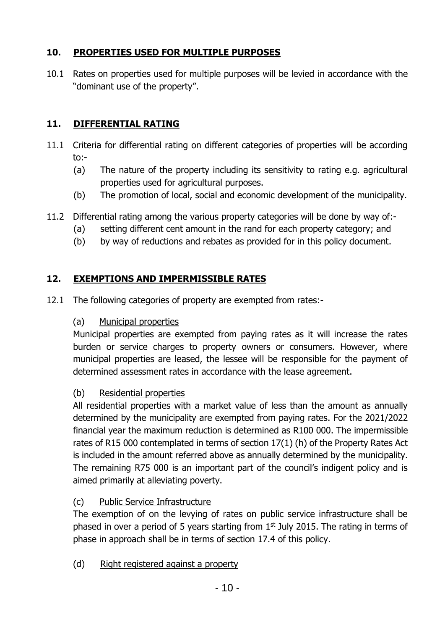# **10. PROPERTIES USED FOR MULTIPLE PURPOSES**

10.1 Rates on properties used for multiple purposes will be levied in accordance with the "dominant use of the property".

# **11. DIFFERENTIAL RATING**

- 11.1 Criteria for differential rating on different categories of properties will be according to:-
	- (a) The nature of the property including its sensitivity to rating e.g. agricultural properties used for agricultural purposes.
	- (b) The promotion of local, social and economic development of the municipality.
- 11.2 Differential rating among the various property categories will be done by way of:-
	- (a) setting different cent amount in the rand for each property category; and
	- (b) by way of reductions and rebates as provided for in this policy document.

### **12. EXEMPTIONS AND IMPERMISSIBLE RATES**

12.1 The following categories of property are exempted from rates:-

### (a) Municipal properties

Municipal properties are exempted from paying rates as it will increase the rates burden or service charges to property owners or consumers. However, where municipal properties are leased, the lessee will be responsible for the payment of determined assessment rates in accordance with the lease agreement.

### (b) Residential properties

All residential properties with a market value of less than the amount as annually determined by the municipality are exempted from paying rates. For the 2021/2022 financial year the maximum reduction is determined as R100 000. The impermissible rates of R15 000 contemplated in terms of section 17(1) (h) of the Property Rates Act is included in the amount referred above as annually determined by the municipality. The remaining R75 000 is an important part of the council's indigent policy and is aimed primarily at alleviating poverty.

### (c) Public Service Infrastructure

The exemption of on the levying of rates on public service infrastructure shall be phased in over a period of 5 years starting from  $1<sup>st</sup>$  July 2015. The rating in terms of phase in approach shall be in terms of section 17.4 of this policy.

(d) Right registered against a property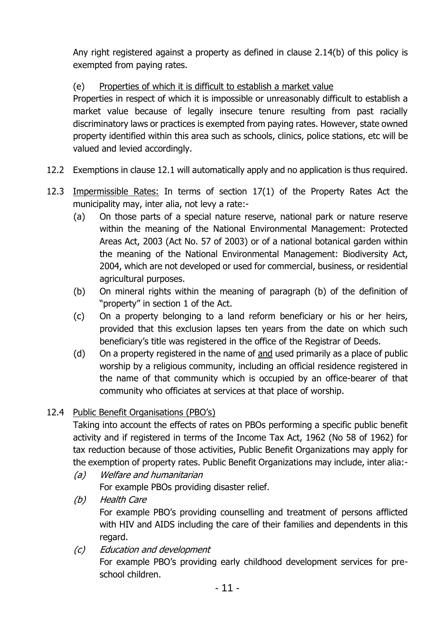Any right registered against a property as defined in clause 2.14(b) of this policy is exempted from paying rates.

### (e) Properties of which it is difficult to establish a market value

Properties in respect of which it is impossible or unreasonably difficult to establish a market value because of legally insecure tenure resulting from past racially discriminatory laws or practices is exempted from paying rates. However, state owned property identified within this area such as schools, clinics, police stations, etc will be valued and levied accordingly.

- 12.2 Exemptions in clause 12.1 will automatically apply and no application is thus required.
- 12.3 Impermissible Rates: In terms of section 17(1) of the Property Rates Act the municipality may, inter alia, not levy a rate:-
	- (a) On those parts of a special nature reserve, national park or nature reserve within the meaning of the National Environmental Management: Protected Areas Act, 2003 (Act No. 57 of 2003) or of a national botanical garden within the meaning of the National Environmental Management: Biodiversity Act, 2004, which are not developed or used for commercial, business, or residential agricultural purposes.
	- (b) On mineral rights within the meaning of paragraph (b) of the definition of "property" in section 1 of the Act.
	- (c) On a property belonging to a land reform beneficiary or his or her heirs, provided that this exclusion lapses ten years from the date on which such beneficiary's title was registered in the office of the Registrar of Deeds.
	- (d) On a property registered in the name of and used primarily as a place of public worship by a religious community, including an official residence registered in the name of that community which is occupied by an office-bearer of that community who officiates at services at that place of worship.

### 12.4 Public Benefit Organisations (PBO's)

Taking into account the effects of rates on PBOs performing a specific public benefit activity and if registered in terms of the Income Tax Act, 1962 (No 58 of 1962) for tax reduction because of those activities, Public Benefit Organizations may apply for the exemption of property rates. Public Benefit Organizations may include, inter alia:-

- (a) Welfare and humanitarian For example PBOs providing disaster relief.
- (b) Health Care For example PBO's providing counselling and treatment of persons afflicted with HIV and AIDS including the care of their families and dependents in this regard.
- (c) Education and development

For example PBO's providing early childhood development services for preschool children.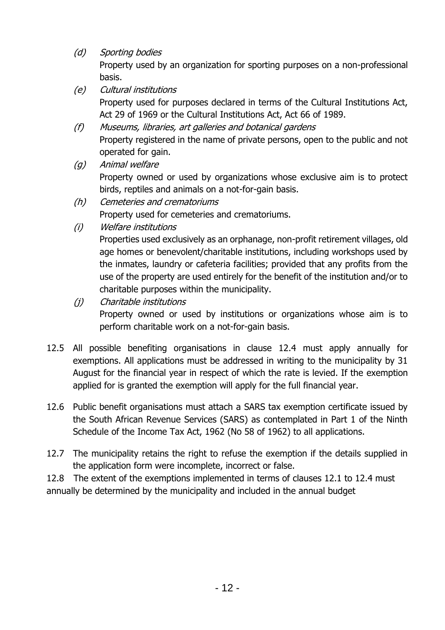(d) Sporting bodies

Property used by an organization for sporting purposes on a non-professional basis.

- (e) Cultural institutions Property used for purposes declared in terms of the Cultural Institutions Act, Act 29 of 1969 or the Cultural Institutions Act, Act 66 of 1989.
- (f) Museums, libraries, art galleries and botanical gardens Property registered in the name of private persons, open to the public and not operated for gain.
- (g) Animal welfare Property owned or used by organizations whose exclusive aim is to protect birds, reptiles and animals on a not-for-gain basis.
- (h) Cemeteries and crematoriums

Property used for cemeteries and crematoriums.

(i) Welfare institutions

Properties used exclusively as an orphanage, non-profit retirement villages, old age homes or benevolent/charitable institutions, including workshops used by the inmates, laundry or cafeteria facilities; provided that any profits from the use of the property are used entirely for the benefit of the institution and/or to charitable purposes within the municipality.

- (j) Charitable institutions Property owned or used by institutions or organizations whose aim is to perform charitable work on a not-for-gain basis.
- 12.5 All possible benefiting organisations in clause 12.4 must apply annually for exemptions. All applications must be addressed in writing to the municipality by 31 August for the financial year in respect of which the rate is levied. If the exemption applied for is granted the exemption will apply for the full financial year.
- 12.6 Public benefit organisations must attach a SARS tax exemption certificate issued by the South African Revenue Services (SARS) as contemplated in Part 1 of the Ninth Schedule of the Income Tax Act, 1962 (No 58 of 1962) to all applications.
- 12.7 The municipality retains the right to refuse the exemption if the details supplied in the application form were incomplete, incorrect or false.

12.8 The extent of the exemptions implemented in terms of clauses 12.1 to 12.4 must annually be determined by the municipality and included in the annual budget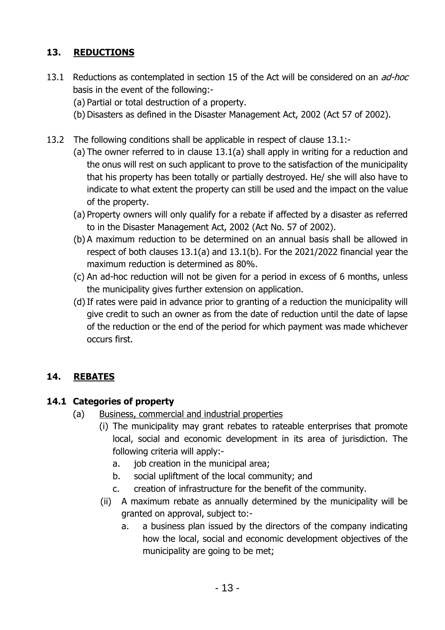# **13. REDUCTIONS**

- 13.1 Reductions as contemplated in section 15 of the Act will be considered on an *ad-hoc* basis in the event of the following:-
	- (a) Partial or total destruction of a property.
	- (b) Disasters as defined in the Disaster Management Act, 2002 (Act 57 of 2002).
- 13.2 The following conditions shall be applicable in respect of clause 13.1:-
	- (a) The owner referred to in clause 13.1(a) shall apply in writing for a reduction and the onus will rest on such applicant to prove to the satisfaction of the municipality that his property has been totally or partially destroyed. He/ she will also have to indicate to what extent the property can still be used and the impact on the value of the property.
	- (a) Property owners will only qualify for a rebate if affected by a disaster as referred to in the Disaster Management Act, 2002 (Act No. 57 of 2002).
	- (b) A maximum reduction to be determined on an annual basis shall be allowed in respect of both clauses 13.1(a) and 13.1(b). For the 2021/2022 financial year the maximum reduction is determined as 80%.
	- (c) An ad-hoc reduction will not be given for a period in excess of 6 months, unless the municipality gives further extension on application.
	- (d)If rates were paid in advance prior to granting of a reduction the municipality will give credit to such an owner as from the date of reduction until the date of lapse of the reduction or the end of the period for which payment was made whichever occurs first.

### **14. REBATES**

### **14.1 Categories of property**

- (a) Business, commercial and industrial properties
	- (i) The municipality may grant rebates to rateable enterprises that promote local, social and economic development in its area of jurisdiction. The following criteria will apply:
		- a. job creation in the municipal area;
		- b. social upliftment of the local community; and
		- c. creation of infrastructure for the benefit of the community.
	- (ii) A maximum rebate as annually determined by the municipality will be granted on approval, subject to:
		- a. a business plan issued by the directors of the company indicating how the local, social and economic development objectives of the municipality are going to be met;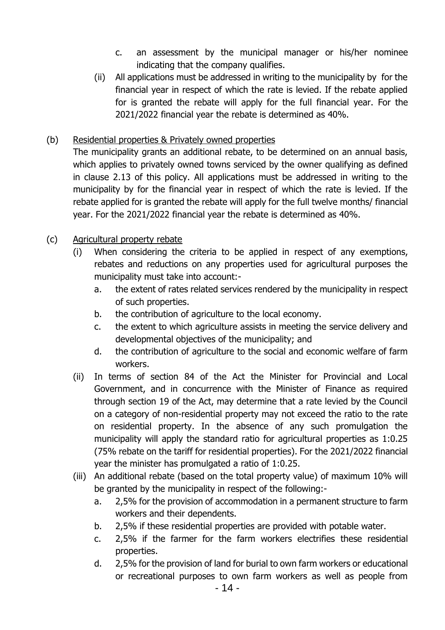- c. an assessment by the municipal manager or his/her nominee indicating that the company qualifies.
- (ii) All applications must be addressed in writing to the municipality by for the financial year in respect of which the rate is levied. If the rebate applied for is granted the rebate will apply for the full financial year. For the 2021/2022 financial year the rebate is determined as 40%.

### (b) Residential properties & Privately owned properties

The municipality grants an additional rebate, to be determined on an annual basis, which applies to privately owned towns serviced by the owner qualifying as defined in clause 2.13 of this policy. All applications must be addressed in writing to the municipality by for the financial year in respect of which the rate is levied. If the rebate applied for is granted the rebate will apply for the full twelve months/ financial year. For the 2021/2022 financial year the rebate is determined as 40%.

### (c) Agricultural property rebate

- (i) When considering the criteria to be applied in respect of any exemptions, rebates and reductions on any properties used for agricultural purposes the municipality must take into account:
	- a. the extent of rates related services rendered by the municipality in respect of such properties.
	- b. the contribution of agriculture to the local economy.
	- c. the extent to which agriculture assists in meeting the service delivery and developmental objectives of the municipality; and
	- d. the contribution of agriculture to the social and economic welfare of farm workers.
- (ii) In terms of section 84 of the Act the Minister for Provincial and Local Government, and in concurrence with the Minister of Finance as required through section 19 of the Act, may determine that a rate levied by the Council on a category of non-residential property may not exceed the ratio to the rate on residential property. In the absence of any such promulgation the municipality will apply the standard ratio for agricultural properties as 1:0.25 (75% rebate on the tariff for residential properties). For the 2021/2022 financial year the minister has promulgated a ratio of 1:0.25.
- (iii) An additional rebate (based on the total property value) of maximum 10% will be granted by the municipality in respect of the following:
	- a. 2,5% for the provision of accommodation in a permanent structure to farm workers and their dependents.
	- b. 2,5% if these residential properties are provided with potable water.
	- c. 2,5% if the farmer for the farm workers electrifies these residential properties.
	- d. 2,5% for the provision of land for burial to own farm workers or educational or recreational purposes to own farm workers as well as people from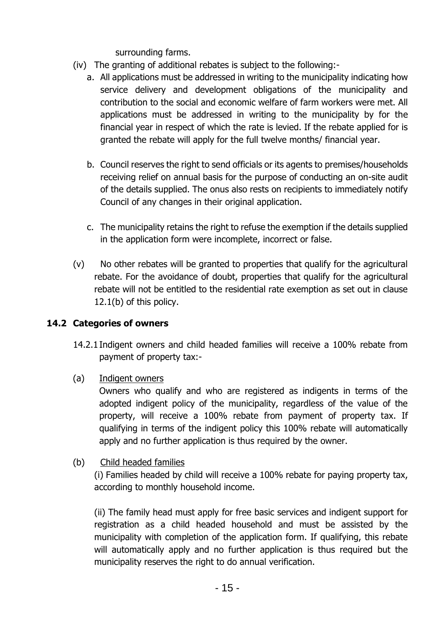surrounding farms.

- (iv) The granting of additional rebates is subject to the following:
	- a. All applications must be addressed in writing to the municipality indicating how service delivery and development obligations of the municipality and contribution to the social and economic welfare of farm workers were met. All applications must be addressed in writing to the municipality by for the financial year in respect of which the rate is levied. If the rebate applied for is granted the rebate will apply for the full twelve months/ financial year.
	- b. Council reserves the right to send officials or its agents to premises/households receiving relief on annual basis for the purpose of conducting an on-site audit of the details supplied. The onus also rests on recipients to immediately notify Council of any changes in their original application.
	- c. The municipality retains the right to refuse the exemption if the details supplied in the application form were incomplete, incorrect or false.
- (v) No other rebates will be granted to properties that qualify for the agricultural rebate. For the avoidance of doubt, properties that qualify for the agricultural rebate will not be entitled to the residential rate exemption as set out in clause 12.1(b) of this policy.

### **14.2 Categories of owners**

- 14.2.1Indigent owners and child headed families will receive a 100% rebate from payment of property tax:-
- (a) Indigent owners

Owners who qualify and who are registered as indigents in terms of the adopted indigent policy of the municipality, regardless of the value of the property, will receive a 100% rebate from payment of property tax. If qualifying in terms of the indigent policy this 100% rebate will automatically apply and no further application is thus required by the owner.

(b) Child headed families

(i) Families headed by child will receive a 100% rebate for paying property tax, according to monthly household income.

(ii) The family head must apply for free basic services and indigent support for registration as a child headed household and must be assisted by the municipality with completion of the application form. If qualifying, this rebate will automatically apply and no further application is thus required but the municipality reserves the right to do annual verification.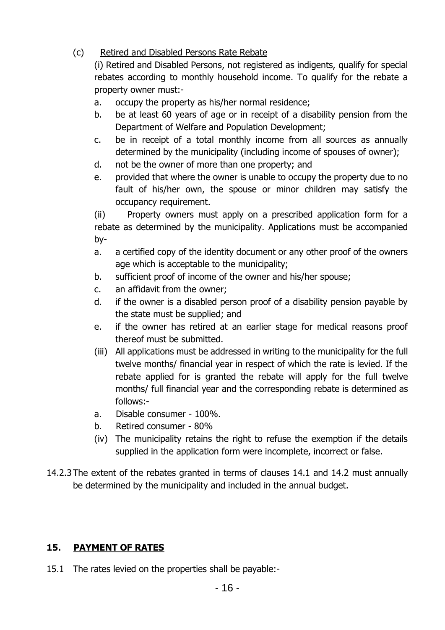### (c) Retired and Disabled Persons Rate Rebate

(i) Retired and Disabled Persons, not registered as indigents, qualify for special rebates according to monthly household income. To qualify for the rebate a property owner must:-

- a. occupy the property as his/her normal residence;
- b. be at least 60 years of age or in receipt of a disability pension from the Department of Welfare and Population Development;
- c. be in receipt of a total monthly income from all sources as annually determined by the municipality (including income of spouses of owner);
- d. not be the owner of more than one property; and
- e. provided that where the owner is unable to occupy the property due to no fault of his/her own, the spouse or minor children may satisfy the occupancy requirement.

(ii) Property owners must apply on a prescribed application form for a rebate as determined by the municipality. Applications must be accompanied by-

- a. a certified copy of the identity document or any other proof of the owners age which is acceptable to the municipality;
- b. sufficient proof of income of the owner and his/her spouse;
- c. an affidavit from the owner;
- d. if the owner is a disabled person proof of a disability pension payable by the state must be supplied; and
- e. if the owner has retired at an earlier stage for medical reasons proof thereof must be submitted.
- (iii) All applications must be addressed in writing to the municipality for the full twelve months/ financial year in respect of which the rate is levied. If the rebate applied for is granted the rebate will apply for the full twelve months/ full financial year and the corresponding rebate is determined as follows:-
- a. Disable consumer 100%.
- b. Retired consumer 80%
- (iv) The municipality retains the right to refuse the exemption if the details supplied in the application form were incomplete, incorrect or false.
- 14.2.3The extent of the rebates granted in terms of clauses 14.1 and 14.2 must annually be determined by the municipality and included in the annual budget.

# **15. PAYMENT OF RATES**

15.1 The rates levied on the properties shall be payable:-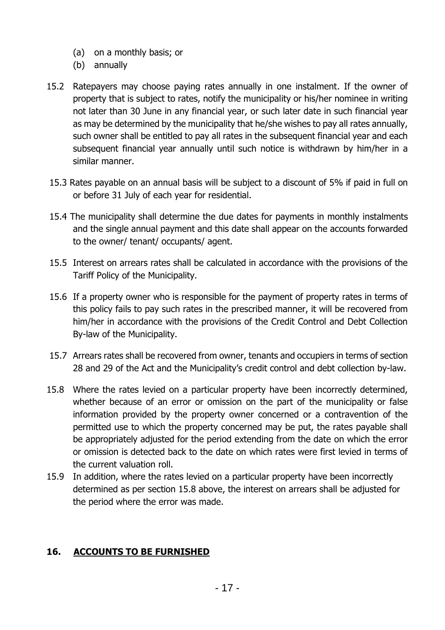- (a) on a monthly basis; or
- (b) annually
- 15.2 Ratepayers may choose paying rates annually in one instalment. If the owner of property that is subject to rates, notify the municipality or his/her nominee in writing not later than 30 June in any financial year, or such later date in such financial year as may be determined by the municipality that he/she wishes to pay all rates annually, such owner shall be entitled to pay all rates in the subsequent financial year and each subsequent financial year annually until such notice is withdrawn by him/her in a similar manner.
- 15.3 Rates payable on an annual basis will be subject to a discount of 5% if paid in full on or before 31 July of each year for residential.
- 15.4 The municipality shall determine the due dates for payments in monthly instalments and the single annual payment and this date shall appear on the accounts forwarded to the owner/ tenant/ occupants/ agent.
- 15.5 Interest on arrears rates shall be calculated in accordance with the provisions of the Tariff Policy of the Municipality.
- 15.6 If a property owner who is responsible for the payment of property rates in terms of this policy fails to pay such rates in the prescribed manner, it will be recovered from him/her in accordance with the provisions of the Credit Control and Debt Collection By-law of the Municipality.
- 15.7 Arrears rates shall be recovered from owner, tenants and occupiers in terms of section 28 and 29 of the Act and the Municipality's credit control and debt collection by-law.
- 15.8 Where the rates levied on a particular property have been incorrectly determined, whether because of an error or omission on the part of the municipality or false information provided by the property owner concerned or a contravention of the permitted use to which the property concerned may be put, the rates payable shall be appropriately adjusted for the period extending from the date on which the error or omission is detected back to the date on which rates were first levied in terms of the current valuation roll.
- 15.9 In addition, where the rates levied on a particular property have been incorrectly determined as per section 15.8 above, the interest on arrears shall be adjusted for the period where the error was made.

### **16. ACCOUNTS TO BE FURNISHED**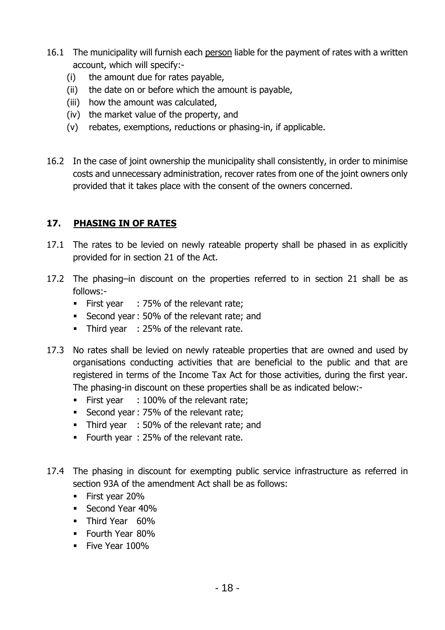- 16.1 The municipality will furnish each person liable for the payment of rates with a written account, which will specify:-
	- (i) the amount due for rates payable,
	- (ii) the date on or before which the amount is payable,
	- (iii) how the amount was calculated,
	- (iv) the market value of the property, and
	- (v) rebates, exemptions, reductions or phasing-in, if applicable.
- 16.2 In the case of joint ownership the municipality shall consistently, in order to minimise costs and unnecessary administration, recover rates from one of the joint owners only provided that it takes place with the consent of the owners concerned.

### **17. PHASING IN OF RATES**

- 17.1 The rates to be levied on newly rateable property shall be phased in as explicitly provided for in section 21 of the Act.
- 17.2 The phasing–in discount on the properties referred to in section 21 shall be as follows:-
	- First year : 75% of the relevant rate;
	- Second year: 50% of the relevant rate; and
	- Third year : 25% of the relevant rate.
- 17.3 No rates shall be levied on newly rateable properties that are owned and used by organisations conducting activities that are beneficial to the public and that are registered in terms of the Income Tax Act for those activities, during the first year. The phasing-in discount on these properties shall be as indicated below:-
	- First year : 100% of the relevant rate;
	- Second year: 75% of the relevant rate;
	- Third year : 50% of the relevant rate; and
	- Fourth year : 25% of the relevant rate.
- 17.4 The phasing in discount for exempting public service infrastructure as referred in section 93A of the amendment Act shall be as follows:
	- **Eirst year 20%**
	- Second Year 40%
	- **·** Third Year 60%
	- **•** Fourth Year 80%
	- **•** Five Year 100%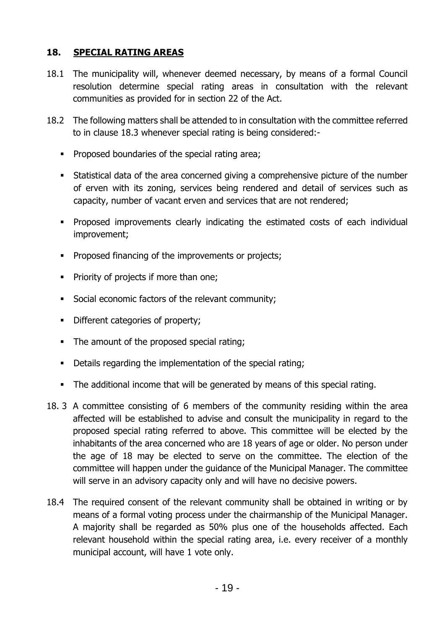### **18. SPECIAL RATING AREAS**

- 18.1 The municipality will, whenever deemed necessary, by means of a formal Council resolution determine special rating areas in consultation with the relevant communities as provided for in section 22 of the Act.
- 18.2 The following matters shall be attended to in consultation with the committee referred to in clause 18.3 whenever special rating is being considered:-
	- Proposed boundaries of the special rating area;
	- Statistical data of the area concerned giving a comprehensive picture of the number of erven with its zoning, services being rendered and detail of services such as capacity, number of vacant erven and services that are not rendered;
	- Proposed improvements clearly indicating the estimated costs of each individual improvement;
	- Proposed financing of the improvements or projects;
	- Priority of projects if more than one;
	- Social economic factors of the relevant community;
	- **•** Different categories of property;
	- The amount of the proposed special rating;
	- Details regarding the implementation of the special rating;
	- The additional income that will be generated by means of this special rating.
- 18. 3 A committee consisting of 6 members of the community residing within the area affected will be established to advise and consult the municipality in regard to the proposed special rating referred to above. This committee will be elected by the inhabitants of the area concerned who are 18 years of age or older. No person under the age of 18 may be elected to serve on the committee. The election of the committee will happen under the guidance of the Municipal Manager. The committee will serve in an advisory capacity only and will have no decisive powers.
- 18.4 The required consent of the relevant community shall be obtained in writing or by means of a formal voting process under the chairmanship of the Municipal Manager. A majority shall be regarded as 50% plus one of the households affected. Each relevant household within the special rating area, i.e. every receiver of a monthly municipal account, will have 1 vote only.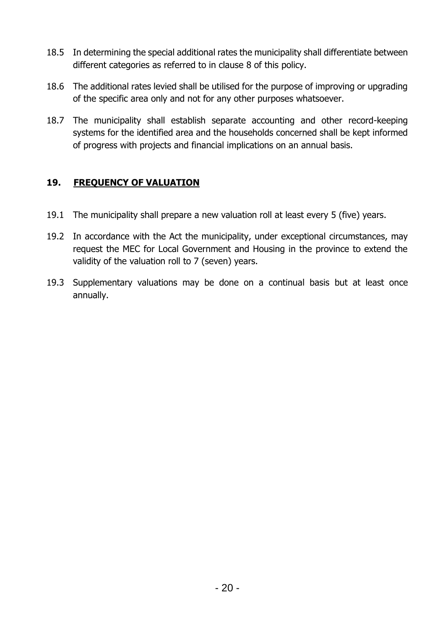- 18.5 In determining the special additional rates the municipality shall differentiate between different categories as referred to in clause 8 of this policy.
- 18.6 The additional rates levied shall be utilised for the purpose of improving or upgrading of the specific area only and not for any other purposes whatsoever.
- 18.7 The municipality shall establish separate accounting and other record-keeping systems for the identified area and the households concerned shall be kept informed of progress with projects and financial implications on an annual basis.

### **19. FREQUENCY OF VALUATION**

- 19.1 The municipality shall prepare a new valuation roll at least every 5 (five) years.
- 19.2 In accordance with the Act the municipality, under exceptional circumstances, may request the MEC for Local Government and Housing in the province to extend the validity of the valuation roll to 7 (seven) years.
- 19.3 Supplementary valuations may be done on a continual basis but at least once annually.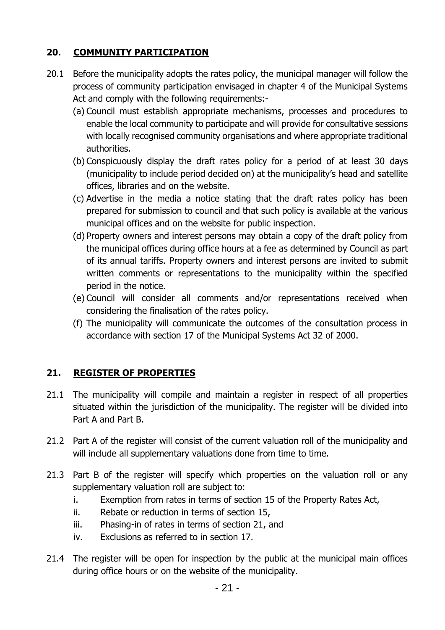# **20. COMMUNITY PARTICIPATION**

- 20.1 Before the municipality adopts the rates policy, the municipal manager will follow the process of community participation envisaged in chapter 4 of the Municipal Systems Act and comply with the following requirements:-
	- (a) Council must establish appropriate mechanisms, processes and procedures to enable the local community to participate and will provide for consultative sessions with locally recognised community organisations and where appropriate traditional authorities.
	- (b) Conspicuously display the draft rates policy for a period of at least 30 days (municipality to include period decided on) at the municipality's head and satellite offices, libraries and on the website.
	- (c) Advertise in the media a notice stating that the draft rates policy has been prepared for submission to council and that such policy is available at the various municipal offices and on the website for public inspection.
	- (d) Property owners and interest persons may obtain a copy of the draft policy from the municipal offices during office hours at a fee as determined by Council as part of its annual tariffs. Property owners and interest persons are invited to submit written comments or representations to the municipality within the specified period in the notice.
	- (e) Council will consider all comments and/or representations received when considering the finalisation of the rates policy.
	- (f) The municipality will communicate the outcomes of the consultation process in accordance with section 17 of the Municipal Systems Act 32 of 2000.

### **21. REGISTER OF PROPERTIES**

- 21.1 The municipality will compile and maintain a register in respect of all properties situated within the jurisdiction of the municipality. The register will be divided into Part A and Part B.
- 21.2 Part A of the register will consist of the current valuation roll of the municipality and will include all supplementary valuations done from time to time.
- 21.3 Part B of the register will specify which properties on the valuation roll or any supplementary valuation roll are subject to:
	- i. Exemption from rates in terms of section 15 of the Property Rates Act,
	- ii. Rebate or reduction in terms of section 15,
	- iii. Phasing-in of rates in terms of section 21, and
	- iv. Exclusions as referred to in section 17.
- 21.4 The register will be open for inspection by the public at the municipal main offices during office hours or on the website of the municipality.